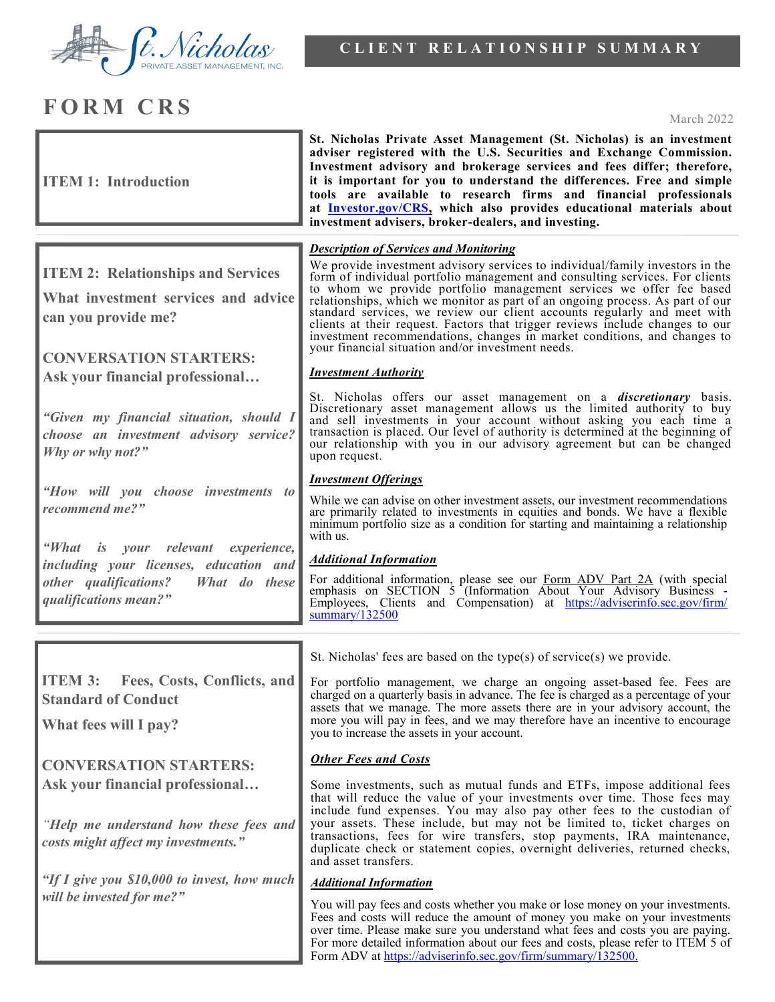

## **FORM CRS** March 2022

| <b>ITEM 1: Introduction</b>                                                                                      | St. Nicholas Private Asset Management (St. Nicholas) is an investment<br>adviser registered with the U.S. Securities and Exchange Commission.<br>Investment advisory and brokerage services and fees differ; therefore,<br>it is important for you to understand the differences. Free and simple<br>tools are available to research firms and financial professionals<br>at Investor.gov/CRS, which also provides educational materials about<br>investment advisers, broker-dealers, and investing.                                                                                                               |
|------------------------------------------------------------------------------------------------------------------|---------------------------------------------------------------------------------------------------------------------------------------------------------------------------------------------------------------------------------------------------------------------------------------------------------------------------------------------------------------------------------------------------------------------------------------------------------------------------------------------------------------------------------------------------------------------------------------------------------------------|
| <b>Description of Services and Monitoring</b>                                                                    |                                                                                                                                                                                                                                                                                                                                                                                                                                                                                                                                                                                                                     |
| <b>ITEM 2: Relationships and Services</b><br>What investment services and advice<br>can you provide me?          | We provide investment advisory services to individual/family investors in the<br>form of individual portfolio management and consulting services. For clients<br>to whom we provide portfolio management services we offer fee based<br>relationships, which we monitor as part of an ongoing process. As part of our<br>standard services, we review our client accounts regularly and meet with<br>clients at their request. Factors that trigger reviews include changes to our<br>investment recommendations, changes in market conditions, and changes to<br>your financial situation and/or investment needs. |
| <b>CONVERSATION STARTERS:</b>                                                                                    | <b>Investment Authority</b>                                                                                                                                                                                                                                                                                                                                                                                                                                                                                                                                                                                         |
| Ask your financial professional                                                                                  |                                                                                                                                                                                                                                                                                                                                                                                                                                                                                                                                                                                                                     |
| "Given my financial situation, should I<br>choose an investment advisory service?<br>Why or why not?"            | St. Nicholas offers our asset management on a <i>discretionary</i> basis.<br>Discretionary asset management allows us the limited authority to buy<br>and sell investments in your account without asking you each time a<br>transaction is placed. Our level of authority is determined at the beginning of<br>our relationship with you in our advisory agreement but can be changed<br>upon request.                                                                                                                                                                                                             |
|                                                                                                                  | <b>Investment Offerings</b>                                                                                                                                                                                                                                                                                                                                                                                                                                                                                                                                                                                         |
| "How will you choose investments to<br>recommend me?"                                                            | While we can advise on other investment assets, our investment recommendations<br>are primarily related to investments in equities and bonds. We have a flexible<br>minimum portfolio size as a condition for starting and maintaining a relationship<br>with us.                                                                                                                                                                                                                                                                                                                                                   |
| "What is your relevant experience,                                                                               | <b>Additional Information</b>                                                                                                                                                                                                                                                                                                                                                                                                                                                                                                                                                                                       |
| including your licenses, education and<br>other qualifications?<br>What do these<br>qualifications mean?"        | For additional information, please see our Form ADV Part 2A (with special<br>emphasis on SECTION 5 (Information About Your Advisory Business -<br>Employees, Clients and Compensation) at https://adviserinfo.sec.gov/firm/<br>summary/132500                                                                                                                                                                                                                                                                                                                                                                       |
|                                                                                                                  |                                                                                                                                                                                                                                                                                                                                                                                                                                                                                                                                                                                                                     |
|                                                                                                                  | St. Nicholas' fees are based on the type(s) of service(s) we provide.                                                                                                                                                                                                                                                                                                                                                                                                                                                                                                                                               |
| <b>ITEM 3:</b> Fees, Costs, Conflicts, and<br><b>Standard of Conduct</b><br>What fees will I pay?                | For portfolio management, we charge an ongoing asset-based fee. Fees are<br>charged on a quarterly basis in advance. The fee is charged as a percentage of your<br>assets that we manage. The more assets there are in your advisory account, the<br>more you will pay in fees, and we may therefore have an incentive to encourage<br>you to increase the assets in your account.                                                                                                                                                                                                                                  |
|                                                                                                                  | <b>Other Fees and Costs</b>                                                                                                                                                                                                                                                                                                                                                                                                                                                                                                                                                                                         |
| <b>CONVERSATION STARTERS:</b>                                                                                    |                                                                                                                                                                                                                                                                                                                                                                                                                                                                                                                                                                                                                     |
| Ask your financial professional<br>"Help me understand how these fees and<br>costs might affect my investments." | Some investments, such as mutual funds and ETFs, impose additional fees<br>that will reduce the value of your investments over time. Those fees may<br>include fund expenses. You may also pay other fees to the custodian of<br>your assets. These include, but may not be limited to, ticket charges on<br>transactions, fees for wire transfers, stop payments, IRA maintenance,<br>duplicate check or statement copies, overnight deliveries, returned checks,<br>and asset transfers.                                                                                                                          |
| "If I give you \$10,000 to invest, how much                                                                      | <b>Additional Information</b>                                                                                                                                                                                                                                                                                                                                                                                                                                                                                                                                                                                       |
| will be invested for me?"                                                                                        | You will pay fees and costs whether you make or lose money on your investments.<br>Fees and costs will reduce the amount of money you make on your investments<br>over time. Please make sure you understand what fees and costs you are paying.<br>For more detailed information about our fees and costs, please refer to ITEM 5 of<br>Form ADV at https://adviserinfo.sec.gov/firm/summary/132500.                                                                                                                                                                                                               |